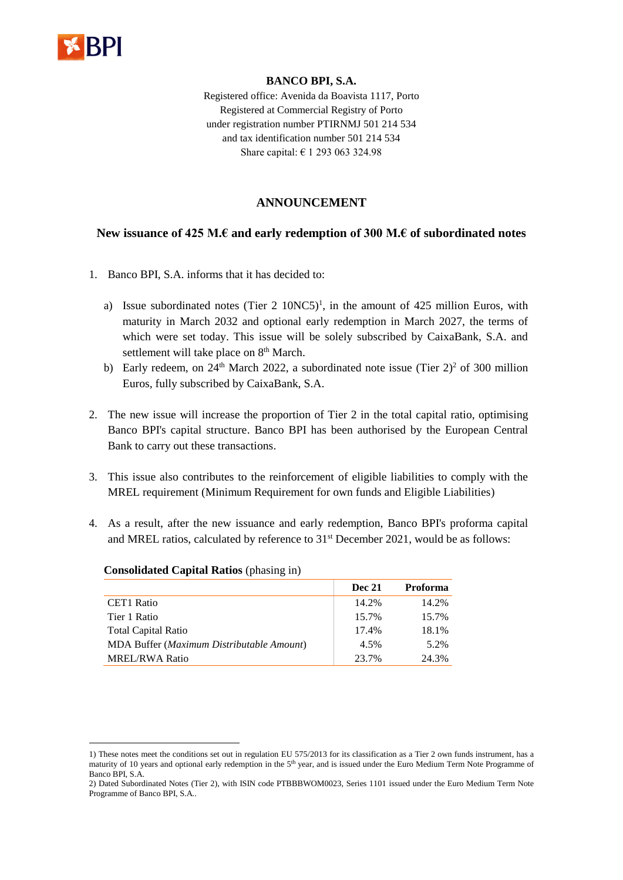

<u>.</u>

## **BANCO BPI, S.A.**

Registered office: Avenida da Boavista 1117, Porto Registered at Commercial Registry of Porto under registration number PTIRNMJ 501 214 534 and tax identification number 501 214 534 Share capital: € 1 293 063 324.98

## **ANNOUNCEMENT**

## **New issuance of 425 M.€ and early redemption of 300 M.€ of subordinated notes**

- 1. Banco BPI, S.A. informs that it has decided to:
	- a) Issue subordinated notes (Tier 2 10NC5)<sup>1</sup>, in the amount of 425 million Euros, with maturity in March 2032 and optional early redemption in March 2027, the terms of which were set today. This issue will be solely subscribed by CaixaBank, S.A. and settlement will take place on 8<sup>th</sup> March.
	- b) Early redeem, on  $24<sup>th</sup>$  March 2022, a subordinated note issue (Tier 2)<sup>2</sup> of 300 million Euros*,* fully subscribed by CaixaBank, S.A.
- 2. The new issue will increase the proportion of Tier 2 in the total capital ratio, optimising Banco BPI's capital structure. Banco BPI has been authorised by the European Central Bank to carry out these transactions.
- 3. This issue also contributes to the reinforcement of eligible liabilities to comply with the MREL requirement (Minimum Requirement for own funds and Eligible Liabilities)
- 4. As a result, after the new issuance and early redemption, Banco BPI's proforma capital and MREL ratios, calculated by reference to 31<sup>st</sup> December 2021, would be as follows:

|                                           | <b>Dec 21</b> | <b>Proforma</b> |
|-------------------------------------------|---------------|-----------------|
| CET1 Ratio                                | 14.2%         | 14.2%           |
| Tier 1 Ratio                              | 15.7%         | 15.7%           |
| <b>Total Capital Ratio</b>                | 17.4%         | 18.1%           |
| MDA Buffer (Maximum Distributable Amount) | 4.5%          | 5.2%            |
| <b>MREL/RWA Ratio</b>                     | 23.7%         | 24.3%           |

## **Consolidated Capital Ratios** (phasing in)

<sup>1)</sup> These notes meet the conditions set out in regulation EU 575/2013 for its classification as a Tier 2 own funds instrument, has a maturity of 10 years and optional early redemption in the 5<sup>th</sup> year, and is issued under the Euro Medium Term Note Programme of Banco BPI, S.A.

<sup>2)</sup> Dated Subordinated Notes (Tier 2), with ISIN code PTBBBWOM0023, Series 1101 issued under the Euro Medium Term Note Programme of Banco BPI, S.A*..*